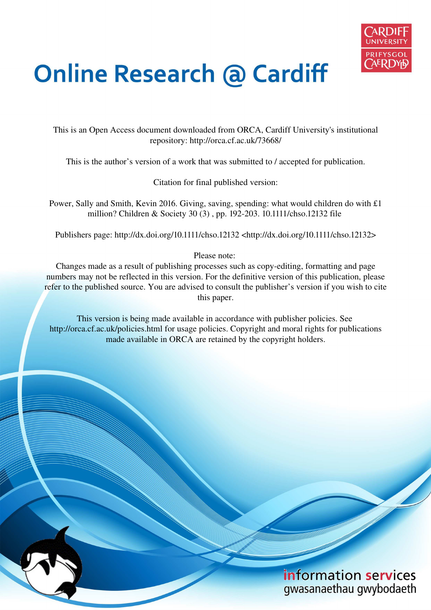

# **Online Research @ Cardiff**

This is an Open Access document downloaded from ORCA, Cardiff University's institutional repository: http://orca.cf.ac.uk/73668/

This is the author's version of a work that was submitted to / accepted for publication.

Citation for final published version:

Power, Sally and Smith, Kevin 2016. Giving, saving, spending: what would children do with £1 million? Children & Society 30 (3) , pp. 192-203. 10.1111/chso.12132 file

Publishers page: http://dx.doi.org/10.1111/chso.12132 <http://dx.doi.org/10.1111/chso.12132>

Please note:

Changes made as a result of publishing processes such as copy-editing, formatting and page numbers may not be reflected in this version. For the definitive version of this publication, please refer to the published source. You are advised to consult the publisher's version if you wish to cite this paper.

This version is being made available in accordance with publisher policies. See http://orca.cf.ac.uk/policies.html for usage policies. Copyright and moral rights for publications made available in ORCA are retained by the copyright holders.

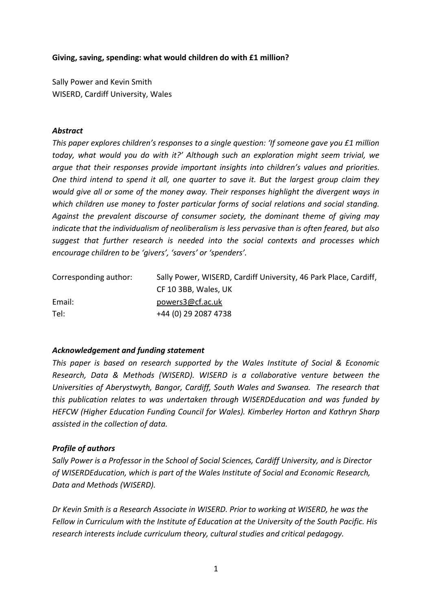### Giving, saving, spending: what would children do with £1 million?

Sally Power and Kevin Smith WISERD, Cardiff University, Wales

# **Abstract**

This paper explores children's responses to a single question: 'If someone gave you £1 million today, what would you do with it?' Although such an exploration might seem trivial, we arque that their responses provide important insights into children's values and priorities. One third intend to spend it all, one quarter to save it. But the largest group claim they would give all or some of the money away. Their responses highlight the divergent ways in which children use money to foster particular forms of social relations and social standing. Against the prevalent discourse of consumer society, the dominant theme of giving may indicate that the individualism of neoliberalism is less pervasive than is often feared, but also suggest that further research is needed into the social contexts and processes which encourage children to be 'givers', 'savers' or 'spenders'.

| Corresponding author: | Sally Power, WISERD, Cardiff University, 46 Park Place, Cardiff, |
|-----------------------|------------------------------------------------------------------|
|                       | CF 10 3BB, Wales, UK                                             |
| Email:                | powers3@cf.ac.uk                                                 |
| Tel:                  | +44 (0) 29 2087 4738                                             |

# Acknowledgement and funding statement

This paper is based on research supported by the Wales Institute of Social & Economic Research, Data & Methods (WISERD). WISERD is a collaborative venture between the Universities of Aberystwyth, Bangor, Cardiff, South Wales and Swansea. The research that this publication relates to was undertaken through WISERDEducation and was funded by HEFCW (Higher Education Funding Council for Wales). Kimberley Horton and Kathryn Sharp assisted in the collection of data.

# **Profile of authors**

Sally Power is a Professor in the School of Social Sciences, Cardiff University, and is Director of WISERDEducation, which is part of the Wales Institute of Social and Economic Research, Data and Methods (WISERD).

Dr Kevin Smith is a Research Associate in WISERD. Prior to working at WISERD, he was the Fellow in Curriculum with the Institute of Education at the University of the South Pacific. His research interests include curriculum theory, cultural studies and critical pedagogy.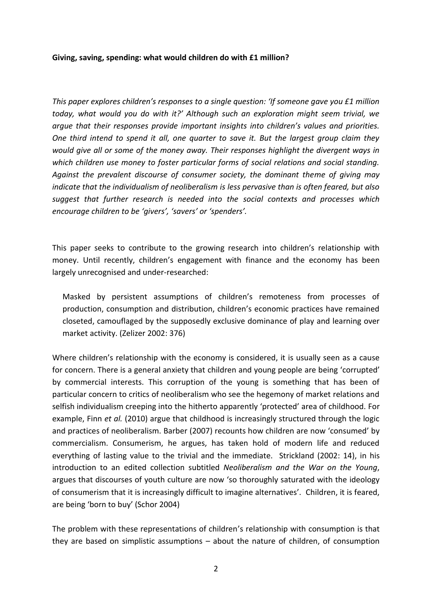#### Giving, saving, spending: what would children do with £1 million?

This paper explores children's responses to a single question: 'If someone gave you £1 million today, what would you do with it?' Although such an exploration might seem trivial, we arque that their responses provide important insights into children's values and priorities. One third intend to spend it all, one quarter to save it. But the largest group claim they would give all or some of the money away. Their responses highlight the divergent ways in which children use money to foster particular forms of social relations and social standing. Against the prevalent discourse of consumer society, the dominant theme of giving may indicate that the individualism of neoliberalism is less pervasive than is often feared, but also suggest that further research is needed into the social contexts and processes which encourage children to be 'givers', 'savers' or 'spenders'.

This paper seeks to contribute to the growing research into children's relationship with money. Until recently, children's engagement with finance and the economy has been largely unrecognised and under-researched:

Masked by persistent assumptions of children's remoteness from processes of production, consumption and distribution, children's economic practices have remained closeted, camouflaged by the supposedly exclusive dominance of play and learning over market activity. (Zelizer 2002: 376)

Where children's relationship with the economy is considered, it is usually seen as a cause for concern. There is a general anxiety that children and young people are being 'corrupted' by commercial interests. This corruption of the young is something that has been of particular concern to critics of neoliberalism who see the hegemony of market relations and selfish individualism creeping into the hitherto apparently 'protected' area of childhood. For example, Finn et al. (2010) argue that childhood is increasingly structured through the logic and practices of neoliberalism. Barber (2007) recounts how children are now 'consumed' by commercialism. Consumerism, he argues, has taken hold of modern life and reduced everything of lasting value to the trivial and the immediate. Strickland (2002: 14), in his introduction to an edited collection subtitled Neoliberalism and the War on the Young, argues that discourses of youth culture are now 'so thoroughly saturated with the ideology of consumerism that it is increasingly difficult to imagine alternatives'. Children, it is feared, are being 'born to buy' (Schor 2004)

The problem with these representations of children's relationship with consumption is that they are based on simplistic assumptions  $-$  about the nature of children, of consumption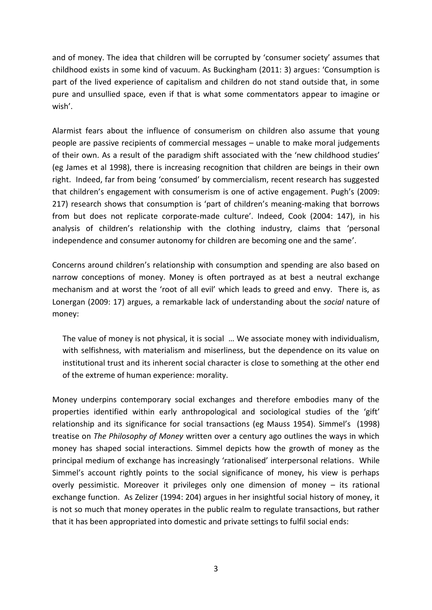and of money. The idea that children will be corrupted by 'consumer society' assumes that childhood exists in some kind of vacuum. As Buckingham (2011: 3) argues: 'Consumption is part of the lived experience of capitalism and children do not stand outside that, in some pure and unsullied space, even if that is what some commentators appear to imagine or wish'.

Alarmist fears about the influence of consumerism on children also assume that young people are passive recipients of commercial messages - unable to make moral judgements of their own. As a result of the paradigm shift associated with the 'new childhood studies' (eg James et al 1998), there is increasing recognition that children are beings in their own right. Indeed, far from being 'consumed' by commercialism, recent research has suggested that children's engagement with consumerism is one of active engagement. Pugh's (2009: 217) research shows that consumption is 'part of children's meaning-making that borrows from but does not replicate corporate-made culture'. Indeed, Cook (2004: 147), in his analysis of children's relationship with the clothing industry, claims that 'personal independence and consumer autonomy for children are becoming one and the same'.

Concerns around children's relationship with consumption and spending are also based on narrow conceptions of money. Money is often portrayed as at best a neutral exchange mechanism and at worst the 'root of all evil' which leads to greed and envy. There is, as Lonergan (2009: 17) argues, a remarkable lack of understanding about the social nature of money:

The value of money is not physical, it is social ... We associate money with individualism, with selfishness, with materialism and miserliness, but the dependence on its value on institutional trust and its inherent social character is close to something at the other end of the extreme of human experience: morality.

Money underpins contemporary social exchanges and therefore embodies many of the properties identified within early anthropological and sociological studies of the 'gift' relationship and its significance for social transactions (eg Mauss 1954). Simmel's (1998) treatise on The Philosophy of Money written over a century ago outlines the ways in which money has shaped social interactions. Simmel depicts how the growth of money as the principal medium of exchange has increasingly 'rationalised' interpersonal relations. While Simmel's account rightly points to the social significance of money, his view is perhaps overly pessimistic. Moreover it privileges only one dimension of money  $-$  its rational exchange function. As Zelizer (1994: 204) argues in her insightful social history of money, it is not so much that money operates in the public realm to regulate transactions, but rather that it has been appropriated into domestic and private settings to fulfil social ends: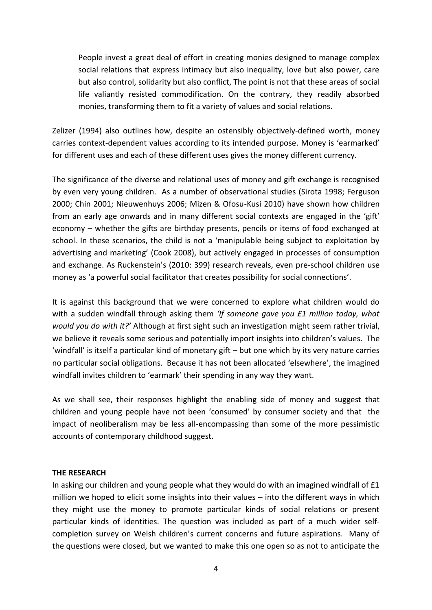People invest a great deal of effort in creating monies designed to manage complex social relations that express intimacy but also inequality, love but also power, care but also control, solidarity but also conflict, The point is not that these areas of social life valiantly resisted commodification. On the contrary, they readily absorbed monies, transforming them to fit a variety of values and social relations.

Zelizer (1994) also outlines how, despite an ostensibly objectively-defined worth, money carries context-dependent values according to its intended purpose. Money is 'earmarked' for different uses and each of these different uses gives the money different currency.

The significance of the diverse and relational uses of money and gift exchange is recognised by even very young children. As a number of observational studies (Sirota 1998; Ferguson 2000; Chin 2001; Nieuwenhuys 2006; Mizen & Ofosu-Kusi 2010) have shown how children from an early age onwards and in many different social contexts are engaged in the 'gift' economy – whether the gifts are birthday presents, pencils or items of food exchanged at school. In these scenarios, the child is not a 'manipulable being subject to exploitation by advertising and marketing' (Cook 2008), but actively engaged in processes of consumption and exchange. As Ruckenstein's (2010: 399) research reveals, even pre-school children use money as 'a powerful social facilitator that creates possibility for social connections'.

It is against this background that we were concerned to explore what children would do with a sudden windfall through asking them 'If someone gave you £1 million today, what would you do with it?' Although at first sight such an investigation might seem rather trivial, we believe it reveals some serious and potentially import insights into children's values. The 'windfall' is itself a particular kind of monetary gift – but one which by its very nature carries no particular social obligations. Because it has not been allocated 'elsewhere', the imagined windfall invites children to 'earmark' their spending in any way they want.

As we shall see, their responses highlight the enabling side of money and suggest that children and young people have not been 'consumed' by consumer society and that the impact of neoliberalism may be less all-encompassing than some of the more pessimistic accounts of contemporary childhood suggest.

#### THE RESEARCH

In asking our children and young people what they would do with an imagined windfall of £1 million we hoped to elicit some insights into their values - into the different ways in which they might use the money to promote particular kinds of social relations or present particular kinds of identities. The question was included as part of a much wider selfcompletion survey on Welsh children's current concerns and future aspirations. Many of the questions were closed, but we wanted to make this one open so as not to anticipate the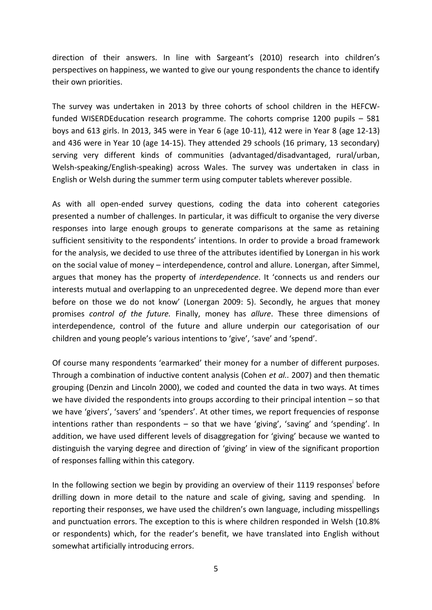direction of their answers. In line with Sargeant's (2010) research into children's perspectives on happiness, we wanted to give our young respondents the chance to identify their own priorities.

The survey was undertaken in 2013 by three cohorts of school children in the HEFCWfunded WISERDEducation research programme. The cohorts comprise 1200 pupils – 581 boys and 613 girls. In 2013, 345 were in Year 6 (age 10-11), 412 were in Year 8 (age 12-13) and 436 were in Year 10 (age 14-15). They attended 29 schools (16 primary, 13 secondary) serving very different kinds of communities (advantaged/disadvantaged, rural/urban, Welsh-speaking/English-speaking) across Wales. The survey was undertaken in class in English or Welsh during the summer term using computer tablets wherever possible.

As with all open-ended survey questions, coding the data into coherent categories presented a number of challenges. In particular, it was difficult to organise the very diverse responses into large enough groups to generate comparisons at the same as retaining sufficient sensitivity to the respondents' intentions. In order to provide a broad framework for the analysis, we decided to use three of the attributes identified by Lonergan in his work on the social value of money – interdependence, control and allure. Lonergan, after Simmel, argues that money has the property of *interdependence*. It 'connects us and renders our interests mutual and overlapping to an unprecedented degree. We depend more than ever before on those we do not know' (Lonergan 2009: 5). Secondly, he argues that money promises *control of the future.* Finally, money has *allure*. These three dimensions of interdependence, control of the future and allure underpin our categorisation of our children and young people's various intentions to 'give', 'save' and 'spend'.

Of course many respondents 'earmarked' their money for a number of different purposes. Through a combination of inductive content analysis (Cohen *et al..* 2007) and then thematic grouping (Denzin and Lincoln 2000), we coded and counted the data in two ways. At times we have divided the respondents into groups according to their principal intention – so that we have 'givers', 'savers' and 'spenders'. At other times, we report frequencies of response intentions rather than respondents – so that we have 'giving', 'saving' and 'spending'. In addition, we have used different levels of disaggregation for 'giving' because we wanted to distinguish the varying degree and direction of 'giving' in view of the significant proportion of responses falling within this category.

In the following section we begin by providing an overview of their 1119 responses<sup>i</sup> before drilling down in more detail to the nature and scale of giving, saving and spending. In reporting their responses, we have used the children's own language, including misspellings and punctuation errors. The exception to this is where children responded in Welsh (10.8% or respondents) which, for the reader's benefit, we have translated into English without somewhat artificially introducing errors.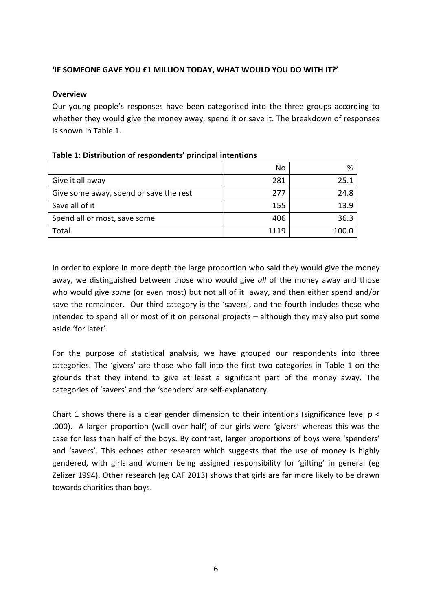# **IF SOMEONE GAVE YOU £1 MILLION TODAY, WHAT WOULD YOU DO WITH IT?'**

#### **Overview**

Our young people's responses have been categorised into the three groups according to whether they would give the money away, spend it or save it. The breakdown of responses is shown in Table 1.

|                                        | No   | %     |
|----------------------------------------|------|-------|
| Give it all away                       | 281  | 25.1  |
| Give some away, spend or save the rest | 277  | 24.8  |
| Save all of it                         | 155  | 13.9  |
| Spend all or most, save some           | 406  | 36.3  |
| Total                                  | 1119 | 100 C |

#### Table 1: Distribution of respondents' principal intentions

In order to explore in more depth the large proportion who said they would give the money away, we distinguished between those who would give *all* of the money away and those who would give *some* (or even most) but not all of it away, and then either spend and/or save the remainder. Our third category is the 'savers', and the fourth includes those who intended to spend all or most of it on personal projects – although they may also put some aside 'for later'.

For the purpose of statistical analysis, we have grouped our respondents into three categories. The 'givers' are those who fall into the first two categories in Table 1 on the grounds that they intend to give at least a significant part of the money away. The categories of 'savers' and the 'spenders' are self-explanatory.

Chart 1 shows there is a clear gender dimension to their intentions (significance level  $p <$ .000). A larger proportion (well over half) of our girls were 'givers' whereas this was the case for less than half of the boys. By contrast, larger proportions of boys were 'spenders' and 'savers'. This echoes other research which suggests that the use of money is highly gendered, with girls and women being assigned responsibility for 'gifting' in general (eg Zelizer 1994). Other research (eg CAF 2013) shows that girls are far more likely to be drawn towards charities than boys.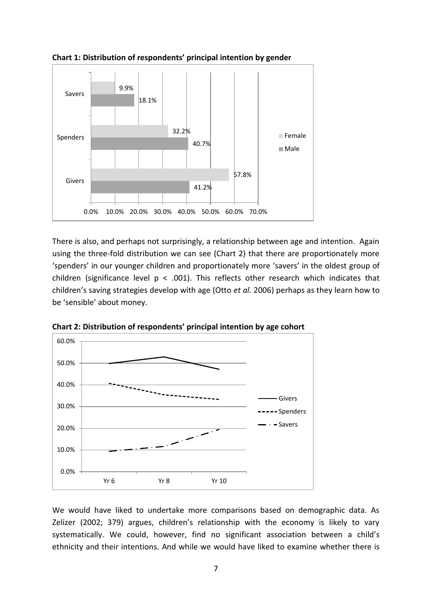

Chart 1: Distribution of respondents' principal intention by gender

There is also, and perhaps not surprisingly, a relationship between age and intention. Again using the three-fold distribution we can see (Chart 2) that there are proportionately more 'spenders' in our younger children and proportionately more 'savers' in the oldest group of children (significance level  $p < .001$ ). This reflects other research which indicates that children's saving strategies develop with age (Otto et al. 2006) perhaps as they learn how to be 'sensible' about money.



Chart 2: Distribution of respondents' principal intention by age cohort

We would have liked to undertake more comparisons based on demographic data. As Zelizer (2002; 379) argues, children's relationship with the economy is likely to vary systematically. We could, however, find no significant association between a child's ethnicity and their intentions. And while we would have liked to examine whether there is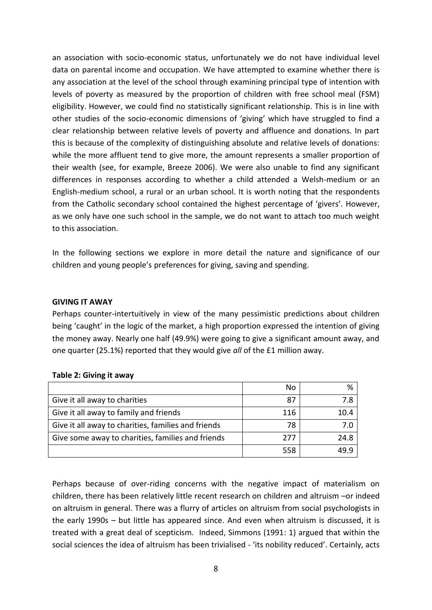an association with socio-economic status, unfortunately we do not have individual level data on parental income and occupation. We have attempted to examine whether there is any association at the level of the school through examining principal type of intention with levels of poverty as measured by the proportion of children with free school meal (FSM) eligibility. However, we could find no statistically significant relationship. This is in line with other studies of the socio-economic dimensions of 'giving' which have struggled to find a clear relationship between relative levels of poverty and affluence and donations. In part this is because of the complexity of distinguishing absolute and relative levels of donations: while the more affluent tend to give more, the amount represents a smaller proportion of their wealth (see, for example, Breeze 2006). We were also unable to find any significant differences in responses according to whether a child attended a Welsh-medium or an English-medium school, a rural or an urban school. It is worth noting that the respondents from the Catholic secondary school contained the highest percentage of 'givers'. However, as we only have one such school in the sample, we do not want to attach too much weight to this association.

In the following sections we explore in more detail the nature and significance of our children and young people's preferences for giving, saving and spending.

#### **GIVING IT AWAY**

Perhaps counter-intertuitively in view of the many pessimistic predictions about children being 'caught' in the logic of the market, a high proportion expressed the intention of giving the money away. Nearly one half (49.9%) were going to give a significant amount away, and one quarter (25.1%) reported that they would give *all* of the £1 million away.

|                                                     | No  |      |
|-----------------------------------------------------|-----|------|
| Give it all away to charities                       | 87  | 78   |
| Give it all away to family and friends              | 116 | 10.4 |
| Give it all away to charities, families and friends | 78  | 7 N  |
| Give some away to charities, families and friends   | 277 | 24.8 |
|                                                     | 558 |      |

#### **Table 2: Giving it away**

Perhaps because of over-riding concerns with the negative impact of materialism on children, there has been relatively little recent research on children and altruism –or indeed on altruism in general. There was a flurry of articles on altruism from social psychologists in the early 1990s – but little has appeared since. And even when altruism is discussed, it is treated with a great deal of scepticism. Indeed, Simmons (1991: 1) argued that within the social sciences the idea of altruism has been trivialised - 'its nobility reduced'. Certainly, acts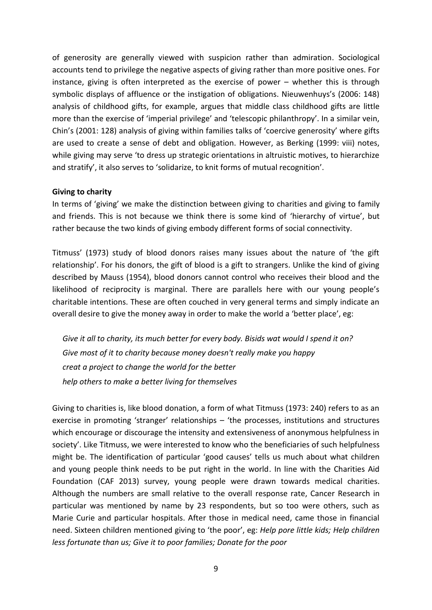of generosity are generally viewed with suspicion rather than admiration. Sociological accounts tend to privilege the negative aspects of giving rather than more positive ones. For instance, giving is often interpreted as the exercise of power  $-$  whether this is through symbolic displays of affluence or the instigation of obligations. Nieuwenhuys's (2006: 148) analysis of childhood gifts, for example, argues that middle class childhood gifts are little more than the exercise of 'imperial privilege' and 'telescopic philanthropy'. In a similar vein, Chin's (2001: 128) analysis of giving within families talks of 'coercive generosity' where gifts are used to create a sense of debt and obligation. However, as Berking (1999: viii) notes, while giving may serve 'to dress up strategic orientations in altruistic motives, to hierarchize and stratify', it also serves to 'solidarize, to knit forms of mutual recognition'.

#### Giving to charity

In terms of 'giving' we make the distinction between giving to charities and giving to family and friends. This is not because we think there is some kind of 'hierarchy of virtue', but rather because the two kinds of giving embody different forms of social connectivity.

Titmuss' (1973) study of blood donors raises many issues about the nature of 'the gift relationship'. For his donors, the gift of blood is a gift to strangers. Unlike the kind of giving described by Mauss (1954), blood donors cannot control who receives their blood and the likelihood of reciprocity is marginal. There are parallels here with our young people's charitable intentions. These are often couched in very general terms and simply indicate an overall desire to give the money away in order to make the world a 'better place', eg:

Give it all to charity, its much better for every body. Bisids wat would I spend it on? Give most of it to charity because money doesn't really make you happy creat a project to change the world for the better help others to make a better living for themselves

Giving to charities is, like blood donation, a form of what Titmuss (1973: 240) refers to as an exercise in promoting 'stranger' relationships  $-$  'the processes, institutions and structures which encourage or discourage the intensity and extensiveness of anonymous helpfulness in society'. Like Titmuss, we were interested to know who the beneficiaries of such helpfulness might be. The identification of particular 'good causes' tells us much about what children and young people think needs to be put right in the world. In line with the Charities Aid Foundation (CAF 2013) survey, young people were drawn towards medical charities. Although the numbers are small relative to the overall response rate, Cancer Research in particular was mentioned by name by 23 respondents, but so too were others, such as Marie Curie and particular hospitals. After those in medical need, came those in financial need. Sixteen children mentioned giving to 'the poor', eg: Help pore little kids; Help children less fortunate than us; Give it to poor families; Donate for the poor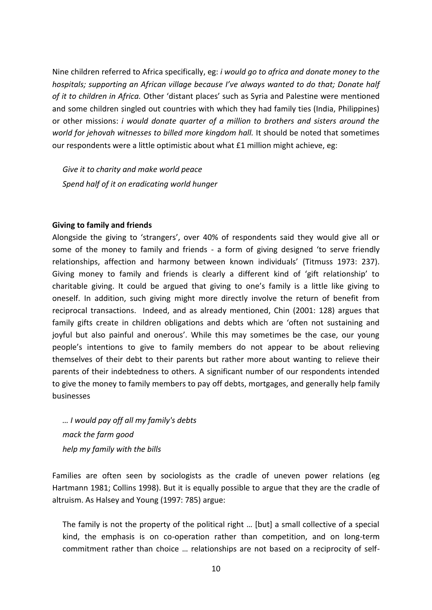Nine children referred to Africa specifically, eg: *i would go to africa and donate money to the* hospitals; supporting an African village because I've always wanted to do that; Donate half of it to children in Africa. Other 'distant places' such as Syria and Palestine were mentioned and some children singled out countries with which they had family ties (India, Philippines) or other missions: *i would donate quarter of a million to brothers and sisters around the* world for jehovah witnesses to billed more kingdom hall. It should be noted that sometimes our respondents were a little optimistic about what £1 million might achieve, eg:

Give it to charity and make world peace Spend half of it on eradicating world hunger

#### **Giving to family and friends**

Alongside the giving to 'strangers', over 40% of respondents said they would give all or some of the money to family and friends - a form of giving designed 'to serve friendly relationships, affection and harmony between known individuals' (Titmuss 1973: 237). Giving money to family and friends is clearly a different kind of 'gift relationship' to charitable giving. It could be argued that giving to one's family is a little like giving to oneself. In addition, such giving might more directly involve the return of benefit from reciprocal transactions. Indeed, and as already mentioned, Chin (2001: 128) argues that family gifts create in children obligations and debts which are 'often not sustaining and joyful but also painful and onerous'. While this may sometimes be the case, our young people's intentions to give to family members do not appear to be about relieving themselves of their debt to their parents but rather more about wanting to relieve their parents of their indebtedness to others. A significant number of our respondents intended to give the money to family members to pay off debts, mortgages, and generally help family businesses

... I would pay off all my family's debts mack the farm good help my family with the bills

Families are often seen by sociologists as the cradle of uneven power relations (eg Hartmann 1981; Collins 1998). But it is equally possible to argue that they are the cradle of altruism. As Halsey and Young (1997: 785) argue:

The family is not the property of the political right ... [but] a small collective of a special kind, the emphasis is on co-operation rather than competition, and on long-term commitment rather than choice ... relationships are not based on a reciprocity of self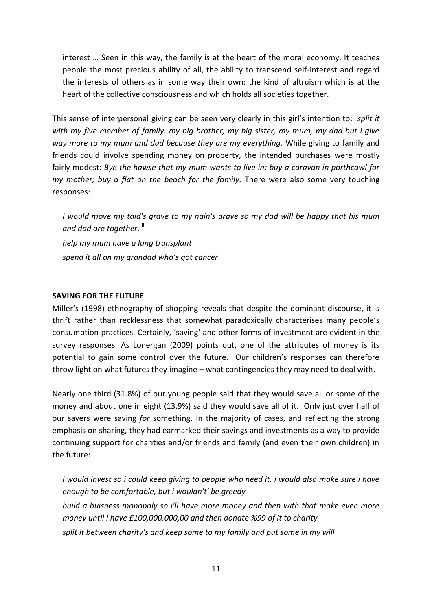interest ... Seen in this way, the family is at the heart of the moral economy. It teaches people the most precious ability of all, the ability to transcend self-interest and regard the interests of others as in some way their own: the kind of altruism which is at the heart of the collective consciousness and which holds all societies together.

This sense of interpersonal giving can be seen very clearly in this girl's intention to: split it with my five member of family, my big brother, my big sister, my mum, my dad but i give way more to my mum and dad because they are my everything. While giving to family and friends could involve spending money on property, the intended purchases were mostly fairly modest: Bye the hawse that my mum wants to live in; buy a caravan in porthcawl for my mother; buy a flat on the beach for the family. There were also some very touching responses:

I would move my taid's grave to my nain's grave so my dad will be happy that his mum and dad are together.  $\mathsf{H}$ 

help my mum have a lung transplant spend it all on my grandad who's got cancer

# **SAVING FOR THE FUTURE**

Miller's (1998) ethnography of shopping reveals that despite the dominant discourse, it is thrift rather than recklessness that somewhat paradoxically characterises many people's consumption practices. Certainly, 'saving' and other forms of investment are evident in the survey responses. As Lonergan (2009) points out, one of the attributes of money is its potential to gain some control over the future. Our children's responses can therefore throw light on what futures they imagine - what contingencies they may need to deal with.

Nearly one third (31.8%) of our young people said that they would save all or some of the money and about one in eight (13.9%) said they would save all of it. Only just over half of our savers were saving for something. In the majority of cases, and reflecting the strong emphasis on sharing, they had earmarked their savings and investments as a way to provide continuing support for charities and/or friends and family (and even their own children) in the future:

i would invest so i could keep giving to people who need it. i would also make sure i have enough to be comfortable, but i wouldn't' be greedy build a buisness monopoly so i'll have more money and then with that make even more money until i have £100,000,000,00 and then donate %99 of it to charity split it between charity's and keep some to my family and put some in my will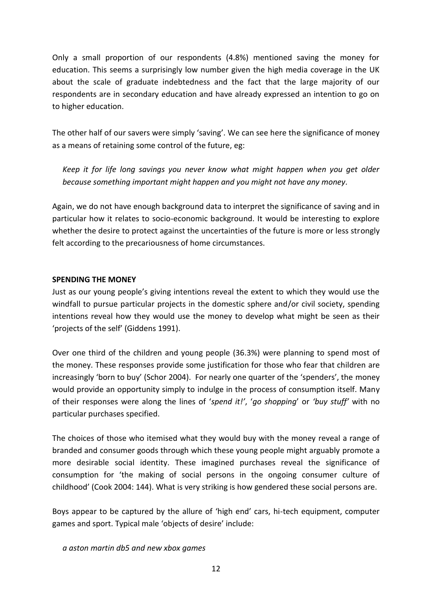Only a small proportion of our respondents (4.8%) mentioned saving the money for education. This seems a surprisingly low number given the high media coverage in the UK about the scale of graduate indebtedness and the fact that the large majority of our respondents are in secondary education and have already expressed an intention to go on to higher education.

The other half of our savers were simply 'saving'. We can see here the significance of money as a means of retaining some control of the future, eg:

Keep it for life long savings you never know what might happen when you get older because something important might happen and you might not have any money.

Again, we do not have enough background data to interpret the significance of saving and in particular how it relates to socio-economic background. It would be interesting to explore whether the desire to protect against the uncertainties of the future is more or less strongly felt according to the precariousness of home circumstances.

# **SPENDING THE MONEY**

Just as our young people's giving intentions reveal the extent to which they would use the windfall to pursue particular projects in the domestic sphere and/or civil society, spending intentions reveal how they would use the money to develop what might be seen as their 'projects of the self' (Giddens 1991).

Over one third of the children and young people (36.3%) were planning to spend most of the money. These responses provide some justification for those who fear that children are increasingly 'born to buy' (Schor 2004). For nearly one quarter of the 'spenders', the money would provide an opportunity simply to indulge in the process of consumption itself. Many of their responses were along the lines of 'spend it!', 'go shopping' or 'buy stuff' with no particular purchases specified.

The choices of those who itemised what they would buy with the money reveal a range of branded and consumer goods through which these young people might arguably promote a more desirable social identity. These imagined purchases reveal the significance of consumption for 'the making of social persons in the ongoing consumer culture of childhood' (Cook 2004: 144). What is very striking is how gendered these social persons are.

Boys appear to be captured by the allure of 'high end' cars, hi-tech equipment, computer games and sport. Typical male 'objects of desire' include:

a aston martin db5 and new xbox games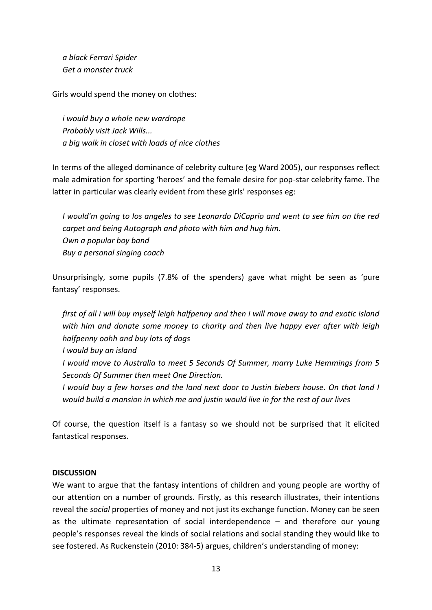*a black Ferrari Spider Get a monster truck* 

Girls would spend the money on clothes:

*i would buy a whole new wardrope Probably visit Jack Wills... a big walk in closet with loads of nice clothes* 

In terms of the alleged dominance of celebrity culture (eg Ward 2005), our responses reflect male admiration for sporting 'heroes' and the female desire for pop-star celebrity fame. The latter in particular was clearly evident from these girls' responses eg:

*I would'm going to los angeles to see Leonardo DiCaprio and went to see him on the red carpet and being Autograph and photo with him and hug him. Own a popular boy band Buy a personal singing coach* 

Unsurprisingly, some pupils (7.8% of the spenders) gave what might be seen as 'pure fantasy' responses.

*first of all i will buy myself leigh halfpenny and then i will move away to and exotic island with him and donate some money to charity and then live happy ever after with leigh halfpenny oohh and buy lots of dogs* 

*I would buy an island* 

- *I would move to Australia to meet 5 Seconds Of Summer, marry Luke Hemmings from 5 Seconds Of Summer then meet One Direction.*
- *I would buy a few horses and the land next door to Justin biebers house. On that land I would build a mansion in which me and justin would live in for the rest of our lives*

Of course, the question itself is a fantasy so we should not be surprised that it elicited fantastical responses.

#### **DISCUSSION**

We want to argue that the fantasy intentions of children and young people are worthy of our attention on a number of grounds. Firstly, as this research illustrates, their intentions reveal the *social* properties of money and not just its exchange function. Money can be seen as the ultimate representation of social interdependence – and therefore our young people's responses reveal the kinds of social relations and social standing they would like to see fostered. As Ruckenstein (2010: 384-5) argues, children's understanding of money: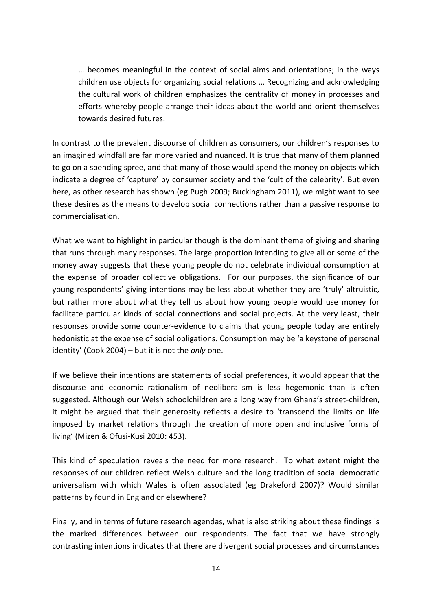... becomes meaningful in the context of social aims and orientations; in the ways children use objects for organizing social relations ... Recognizing and acknowledging the cultural work of children emphasizes the centrality of money in processes and efforts whereby people arrange their ideas about the world and orient themselves towards desired futures.

In contrast to the prevalent discourse of children as consumers, our children's responses to an imagined windfall are far more varied and nuanced. It is true that many of them planned to go on a spending spree, and that many of those would spend the money on objects which indicate a degree of 'capture' by consumer society and the 'cult of the celebrity'. But even here, as other research has shown (eg Pugh 2009; Buckingham 2011), we might want to see these desires as the means to develop social connections rather than a passive response to commercialisation.

What we want to highlight in particular though is the dominant theme of giving and sharing that runs through many responses. The large proportion intending to give all or some of the money away suggests that these young people do not celebrate individual consumption at the expense of broader collective obligations. For our purposes, the significance of our young respondents' giving intentions may be less about whether they are 'truly' altruistic, but rather more about what they tell us about how young people would use money for facilitate particular kinds of social connections and social projects. At the very least, their responses provide some counter-evidence to claims that young people today are entirely hedonistic at the expense of social obligations. Consumption may be 'a keystone of personal identity' (Cook 2004) – but it is not the only one.

If we believe their intentions are statements of social preferences, it would appear that the discourse and economic rationalism of neoliberalism is less hegemonic than is often suggested. Although our Welsh schoolchildren are a long way from Ghana's street-children, it might be argued that their generosity reflects a desire to 'transcend the limits on life imposed by market relations through the creation of more open and inclusive forms of living' (Mizen & Ofusi-Kusi 2010: 453).

This kind of speculation reveals the need for more research. To what extent might the responses of our children reflect Welsh culture and the long tradition of social democratic universalism with which Wales is often associated (eg Drakeford 2007)? Would similar patterns by found in England or elsewhere?

Finally, and in terms of future research agendas, what is also striking about these findings is the marked differences between our respondents. The fact that we have strongly contrasting intentions indicates that there are divergent social processes and circumstances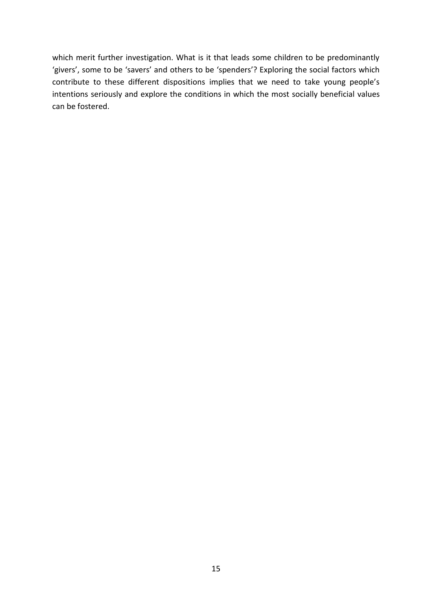which merit further investigation. What is it that leads some children to be predominantly 'givers', some to be 'savers' and others to be 'spenders'? Exploring the social factors which contribute to these different dispositions implies that we need to take young people's intentions seriously and explore the conditions in which the most socially beneficial values can be fostered.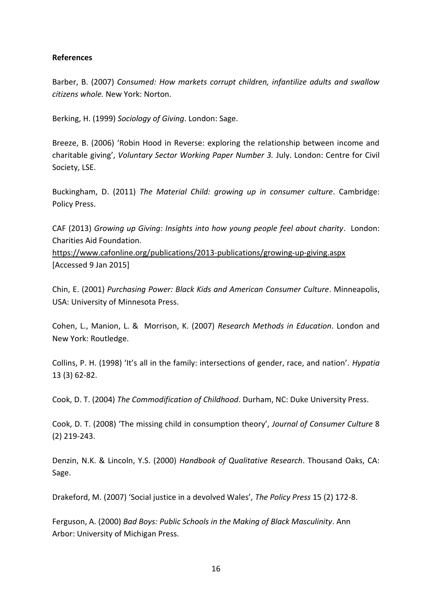# **References**

Barber, B. (2007) Consumed: How markets corrupt children, infantilize adults and swallow citizens whole. New York: Norton.

Berking, H. (1999) Sociology of Giving. London: Sage.

Breeze, B. (2006) 'Robin Hood in Reverse: exploring the relationship between income and charitable giving', Voluntary Sector Working Paper Number 3. July. London: Centre for Civil Society, LSE.

Buckingham, D. (2011) The Material Child: growing up in consumer culture. Cambridge: Policy Press.

CAF (2013) Growing up Giving: Insights into how young people feel about charity. London: Charities Aid Foundation.

https://www.cafonline.org/publications/2013-publications/growing-up-giving.aspx [Accessed 9 Jan 2015]

Chin, E. (2001) Purchasing Power: Black Kids and American Consumer Culture. Minneapolis, USA: University of Minnesota Press.

Cohen, L., Manion, L. & Morrison, K. (2007) Research Methods in Education. London and New York: Routledge.

Collins, P. H. (1998) 'It's all in the family: intersections of gender, race, and nation'. Hypatia  $13(3)62-82.$ 

Cook, D. T. (2004) The Commodification of Childhood. Durham, NC: Duke University Press.

Cook, D. T. (2008) 'The missing child in consumption theory', Journal of Consumer Culture 8  $(2)$  219-243.

Denzin, N.K. & Lincoln, Y.S. (2000) Handbook of Qualitative Research. Thousand Oaks, CA: Sage.

Drakeford, M. (2007) 'Social justice in a devolved Wales', The Policy Press 15 (2) 172-8.

Ferguson, A. (2000) Bad Boys: Public Schools in the Making of Black Masculinity. Ann Arbor: University of Michigan Press.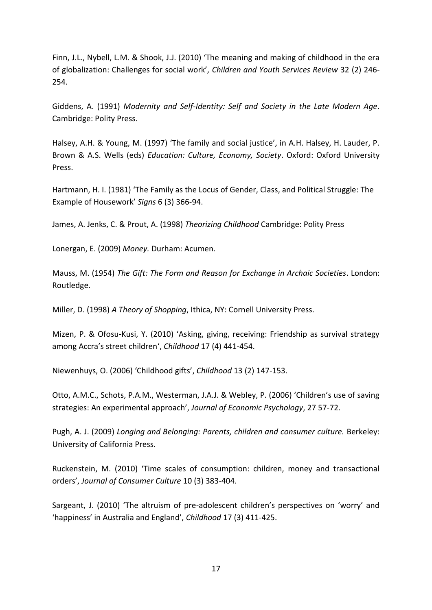Finn, J.L., Nybell, L.M. & Shook, J.J. (2010) 'The meaning and making of childhood in the era of globalization: Challenges for social work', Children and Youth Services Review 32 (2) 246-254.

Giddens, A. (1991) Modernity and Self-Identity: Self and Society in the Late Modern Age. Cambridge: Polity Press.

Halsey, A.H. & Young, M. (1997) 'The family and social justice', in A.H. Halsey, H. Lauder, P. Brown & A.S. Wells (eds) Education: Culture, Economy, Society. Oxford: Oxford University Press.

Hartmann, H. I. (1981) 'The Family as the Locus of Gender, Class, and Political Struggle: The Example of Housework' Signs 6 (3) 366-94.

James, A. Jenks, C. & Prout, A. (1998) Theorizing Childhood Cambridge: Polity Press

Lonergan, E. (2009) Money. Durham: Acumen.

Mauss, M. (1954) The Gift: The Form and Reason for Exchange in Archaic Societies. London: Routledge.

Miller, D. (1998) A Theory of Shopping, Ithica, NY: Cornell University Press.

Mizen, P. & Ofosu-Kusi, Y. (2010) 'Asking, giving, receiving: Friendship as survival strategy among Accra's street children', Childhood 17 (4) 441-454.

Niewenhuys, O. (2006) 'Childhood gifts', Childhood 13 (2) 147-153.

Otto, A.M.C., Schots, P.A.M., Westerman, J.A.J. & Webley, P. (2006) 'Children's use of saving strategies: An experimental approach', Journal of Economic Psychology, 27 57-72.

Pugh, A. J. (2009) Longing and Belonging: Parents, children and consumer culture. Berkeley: University of California Press.

Ruckenstein, M. (2010) 'Time scales of consumption: children, money and transactional orders', Journal of Consumer Culture 10 (3) 383-404.

Sargeant, J. (2010) 'The altruism of pre-adolescent children's perspectives on 'worry' and 'happiness' in Australia and England', Childhood 17 (3) 411-425.